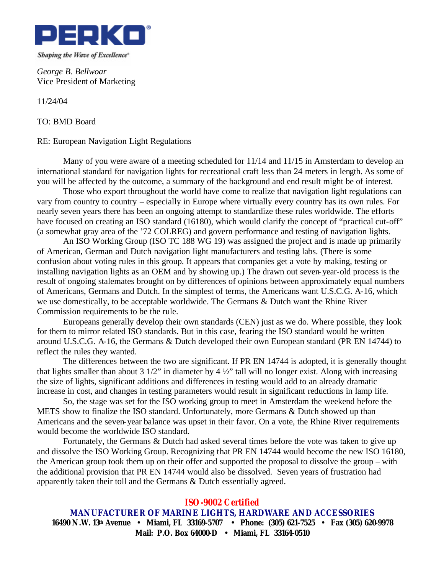

*George B. Bellwoar* Vice President of Marketing

11/24/04

TO: BMD Board

## RE: European Navigation Light Regulations

Many of you were aware of a meeting scheduled for 11/14 and 11/15 in Amsterdam to develop an international standard for navigation lights for recreational craft less than 24 meters in length. As some of you will be affected by the outcome, a summary of the background and end result might be of interest.

Those who export throughout the world have come to realize that navigation light regulations can vary from country to country – especially in Europe where virtually every country has its own rules. For nearly seven years there has been an ongoing attempt to standardize these rules worldwide. The efforts have focused on creating an ISO standard (16180), which would clarify the concept of "practical cut-off" (a somewhat gray area of the '72 COLREG) and govern performance and testing of navigation lights.

An ISO Working Group (ISO TC 188 WG 19) was assigned the project and is made up primarily of American, German and Dutch navigation light manufacturers and testing labs. (There is some confusion about voting rules in this group. It appears that companies get a vote by making, testing or installing navigation lights as an OEM and by showing up.) The drawn out seven-year-old process is the result of ongoing stalemates brought on by differences of opinions between approximately equal numbers of Americans, Germans and Dutch. In the simplest of terms, the Americans want U.S.C.G. A-16, which we use domestically, to be acceptable worldwide. The Germans & Dutch want the Rhine River Commission requirements to be the rule.

Europeans generally develop their own standards (CEN) just as we do. Where possible, they look for them to mirror related ISO standards. But in this case, fearing the ISO standard would be written around U.S.C.G. A-16, the Germans & Dutch developed their own European standard (PR EN 14744) to reflect the rules they wanted.

The differences between the two are significant. If PR EN 14744 is adopted, it is generally thought that lights smaller than about 3 1/2" in diameter by  $4\frac{1}{2}$ " tall will no longer exist. Along with increasing the size of lights, significant additions and differences in testing would add to an already dramatic increase in cost, and changes in testing parameters would result in significant reductions in lamp life.

So, the stage was set for the ISO working group to meet in Amsterdam the weekend before the METS show to finalize the ISO standard. Unfortunately, more Germans & Dutch showed up than Americans and the seven-year balance was upset in their favor. On a vote, the Rhine River requirements would become the worldwide ISO standard.

Fortunately, the Germans & Dutch had asked several times before the vote was taken to give up and dissolve the ISO Working Group. Recognizing that PR EN 14744 would become the new ISO 16180, the American group took them up on their offer and supported the proposal to dissolve the group – with the additional provision that PR EN 14744 would also be dissolved. Seven years of frustration had apparently taken their toll and the Germans & Dutch essentially agreed.

## *ISO-9002 Certified*

**MANUFACTURER OF MARINE LIGHTS, HARDWARE AND ACCESSORIES 16490 N.W. 13th Avenue · Miami, FL 33169-5707 · Phone: (305) 621-7525 · Fax (305) 620-9978 Mail: P.O. Box 64000-D · Miami, FL 33164-0510**